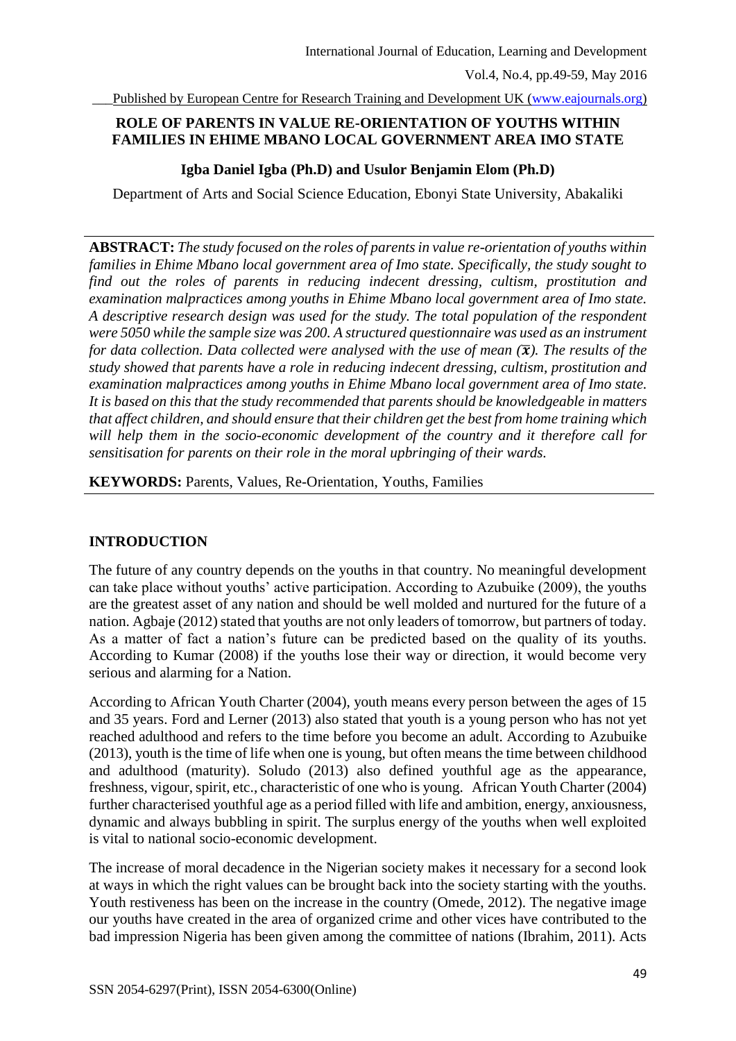Published by European Centre for Research Training and Development UK [\(www.eajournals.org\)](http://www.eajournals.org/)

# **ROLE OF PARENTS IN VALUE RE-ORIENTATION OF YOUTHS WITHIN FAMILIES IN EHIME MBANO LOCAL GOVERNMENT AREA IMO STATE**

## **Igba Daniel Igba (Ph.D) and Usulor Benjamin Elom (Ph.D)**

Department of Arts and Social Science Education, Ebonyi State University, Abakaliki

**ABSTRACT:** *The study focused on the roles of parents in value re-orientation of youths within families in Ehime Mbano local government area of Imo state. Specifically, the study sought to find out the roles of parents in reducing indecent dressing, cultism, prostitution and examination malpractices among youths in Ehime Mbano local government area of Imo state. A descriptive research design was used for the study. The total population of the respondent were 5050 while the sample size was 200. A structured questionnaire was used as an instrument for data collection. Data collected were analysed with the use of mean*  $(\bar{x})$ *. The results of the study showed that parents have a role in reducing indecent dressing, cultism, prostitution and examination malpractices among youths in Ehime Mbano local government area of Imo state. It is based on this that the study recommended that parents should be knowledgeable in matters that affect children, and should ensure that their children get the best from home training which will help them in the socio-economic development of the country and it therefore call for sensitisation for parents on their role in the moral upbringing of their wards.* 

**KEYWORDS:** Parents, Values, Re-Orientation, Youths, Families

## **INTRODUCTION**

The future of any country depends on the youths in that country. No meaningful development can take place without youths' active participation. According to Azubuike (2009), the youths are the greatest asset of any nation and should be well molded and nurtured for the future of a nation. Agbaje (2012) stated that youths are not only leaders of tomorrow, but partners of today. As a matter of fact a nation's future can be predicted based on the quality of its youths. According to Kumar (2008) if the youths lose their way or direction, it would become very serious and alarming for a Nation.

According to African Youth Charter (2004), youth means every person between the ages of 15 and 35 years. Ford and Lerner (2013) also stated that youth is a young person who has not yet reached adulthood and refers to the time before you become an adult. According to Azubuike (2013), youth is the time of life when one is young, but often means the time between childhood and adulthood (maturity). Soludo (2013) also defined youthful age as the appearance, freshness, vigour, spirit, etc., characteristic of one who is young. African Youth Charter (2004) further characterised youthful age as a period filled with life and ambition, energy, anxiousness, dynamic and always bubbling in spirit. The surplus energy of the youths when well exploited is vital to national socio-economic development.

The increase of moral decadence in the Nigerian society makes it necessary for a second look at ways in which the right values can be brought back into the society starting with the youths. Youth restiveness has been on the increase in the country (Omede, 2012). The negative image our youths have created in the area of organized crime and other vices have contributed to the bad impression Nigeria has been given among the committee of nations (Ibrahim, 2011). Acts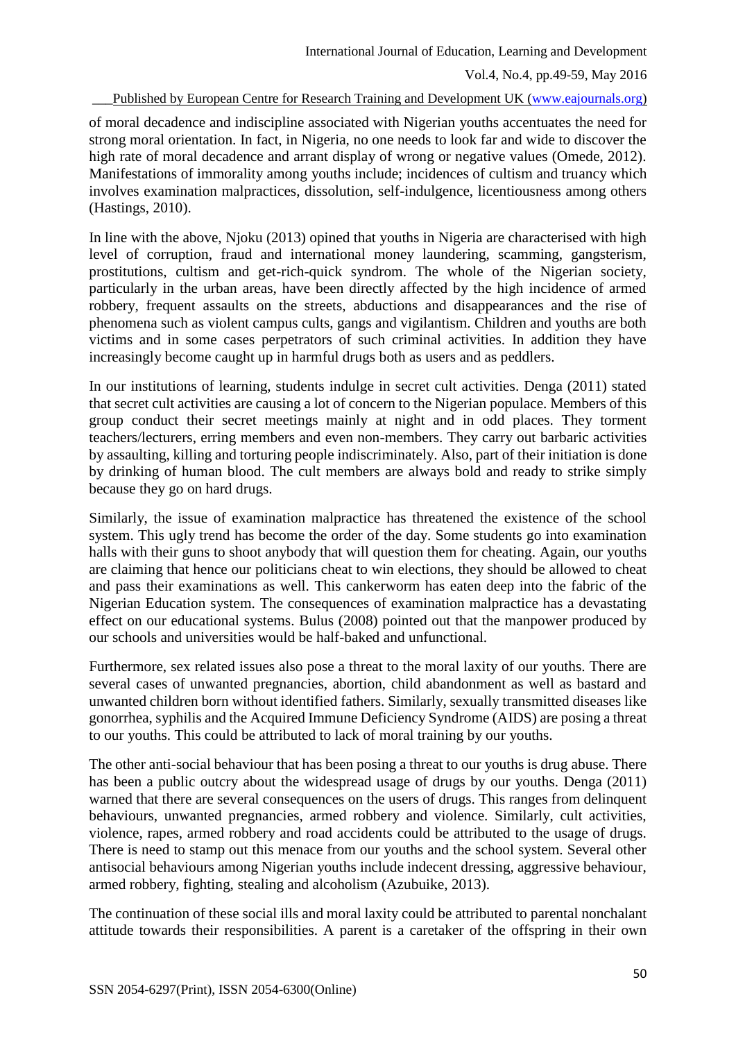Published by European Centre for Research Training and Development UK [\(www.eajournals.org\)](http://www.eajournals.org/)

of moral decadence and indiscipline associated with Nigerian youths accentuates the need for strong moral orientation. In fact, in Nigeria, no one needs to look far and wide to discover the high rate of moral decadence and arrant display of wrong or negative values (Omede, 2012). Manifestations of immorality among youths include; incidences of cultism and truancy which involves examination malpractices, dissolution, self-indulgence, licentiousness among others (Hastings, 2010).

In line with the above, Njoku (2013) opined that youths in Nigeria are characterised with high level of corruption, fraud and international money laundering, scamming, gangsterism, prostitutions, cultism and get-rich-quick syndrom. The whole of the Nigerian society, particularly in the urban areas, have been directly affected by the high incidence of armed robbery, frequent assaults on the streets, abductions and disappearances and the rise of phenomena such as violent campus cults, gangs and vigilantism. Children and youths are both victims and in some cases perpetrators of such criminal activities. In addition they have increasingly become caught up in harmful drugs both as users and as peddlers.

In our institutions of learning, students indulge in secret cult activities. Denga (2011) stated that secret cult activities are causing a lot of concern to the Nigerian populace. Members of this group conduct their secret meetings mainly at night and in odd places. They torment teachers/lecturers, erring members and even non-members. They carry out barbaric activities by assaulting, killing and torturing people indiscriminately. Also, part of their initiation is done by drinking of human blood. The cult members are always bold and ready to strike simply because they go on hard drugs.

Similarly, the issue of examination malpractice has threatened the existence of the school system. This ugly trend has become the order of the day. Some students go into examination halls with their guns to shoot anybody that will question them for cheating. Again, our youths are claiming that hence our politicians cheat to win elections, they should be allowed to cheat and pass their examinations as well. This cankerworm has eaten deep into the fabric of the Nigerian Education system. The consequences of examination malpractice has a devastating effect on our educational systems. Bulus (2008) pointed out that the manpower produced by our schools and universities would be half-baked and unfunctional.

Furthermore, sex related issues also pose a threat to the moral laxity of our youths. There are several cases of unwanted pregnancies, abortion, child abandonment as well as bastard and unwanted children born without identified fathers. Similarly, sexually transmitted diseases like gonorrhea, syphilis and the Acquired Immune Deficiency Syndrome (AIDS) are posing a threat to our youths. This could be attributed to lack of moral training by our youths.

The other anti-social behaviour that has been posing a threat to our youths is drug abuse. There has been a public outcry about the widespread usage of drugs by our youths. Denga (2011) warned that there are several consequences on the users of drugs. This ranges from delinquent behaviours, unwanted pregnancies, armed robbery and violence. Similarly, cult activities, violence, rapes, armed robbery and road accidents could be attributed to the usage of drugs. There is need to stamp out this menace from our youths and the school system. Several other antisocial behaviours among Nigerian youths include indecent dressing, aggressive behaviour, armed robbery, fighting, stealing and alcoholism (Azubuike, 2013).

The continuation of these social ills and moral laxity could be attributed to parental nonchalant attitude towards their responsibilities. A parent is a caretaker of the [offspring](https://en.wikipedia.org/wiki/Offspring) in their own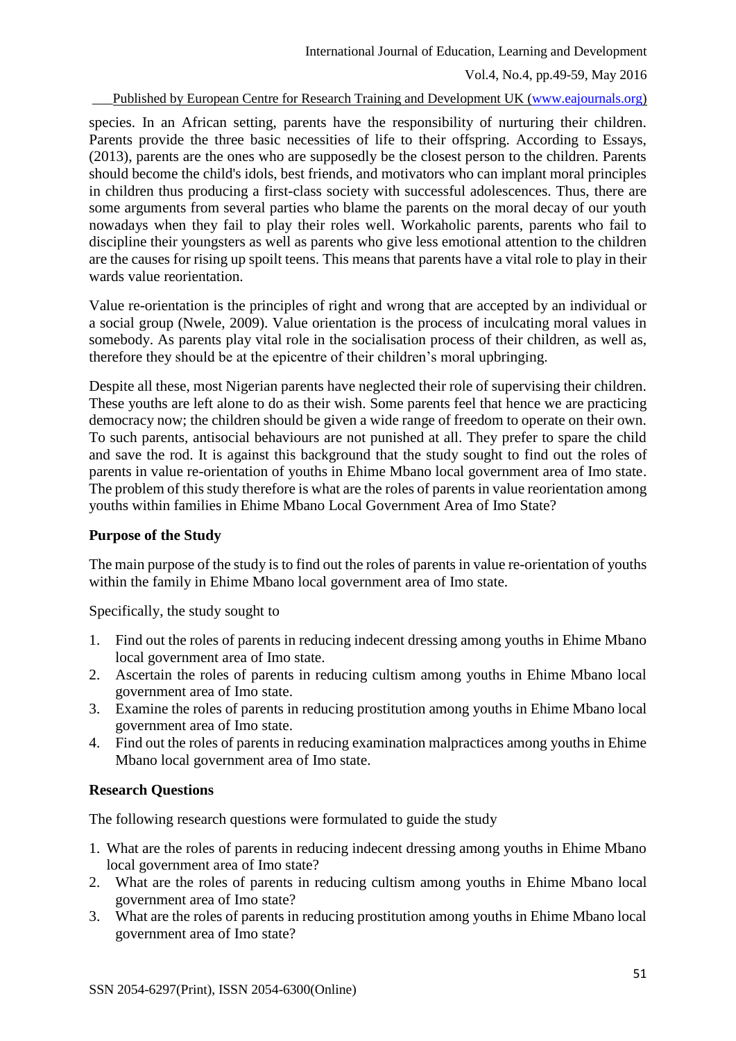## Vol.4, No.4, pp.49-59, May 2016

Published by European Centre for Research Training and Development UK [\(www.eajournals.org\)](http://www.eajournals.org/)

species. In an African setting, parents have the responsibility of nurturing their children. Parents provide the three basic necessities of life to their offspring. According to Essays, (2013), parents are the ones who are supposedly be the closest person to the children. Parents should become the child's idols, best friends, and motivators who can implant moral principles in children thus producing a first-class society with successful adolescences. Thus, there are some arguments from several parties who blame the parents on the moral decay of our youth nowadays when they fail to play their roles well. Workaholic parents, parents who fail to discipline their youngsters as well as parents who give less emotional attention to the children are the causes for rising up spoilt teens. This means that parents have a vital role to play in their wards value reorientation.

Value re-orientation is the principles of right and wrong that are accepted by an individual or a social group (Nwele, 2009). Value orientation is the process of inculcating moral values in somebody. As parents play vital role in the socialisation process of their children, as well as, therefore they should be at the epicentre of their children's moral upbringing.

Despite all these, most Nigerian parents have neglected their role of supervising their children. These youths are left alone to do as their wish. Some parents feel that hence we are practicing democracy now; the children should be given a wide range of freedom to operate on their own. To such parents, antisocial behaviours are not punished at all. They prefer to spare the child and save the rod. It is against this background that the study sought to find out the roles of parents in value re-orientation of youths in Ehime Mbano local government area of Imo state. The problem of this study therefore is what are the roles of parents in value reorientation among youths within families in Ehime Mbano Local Government Area of Imo State?

## **Purpose of the Study**

The main purpose of the study is to find out the roles of parents in value re-orientation of youths within the family in Ehime Mbano local government area of Imo state.

Specifically, the study sought to

- 1. Find out the roles of parents in reducing indecent dressing among youths in Ehime Mbano local government area of Imo state.
- 2. Ascertain the roles of parents in reducing cultism among youths in Ehime Mbano local government area of Imo state.
- 3. Examine the roles of parents in reducing prostitution among youths in Ehime Mbano local government area of Imo state.
- 4. Find out the roles of parents in reducing examination malpractices among youths in Ehime Mbano local government area of Imo state.

## **Research Questions**

The following research questions were formulated to guide the study

- 1. What are the roles of parents in reducing indecent dressing among youths in Ehime Mbano local government area of Imo state?
- 2. What are the roles of parents in reducing cultism among youths in Ehime Mbano local government area of Imo state?
- 3. What are the roles of parents in reducing prostitution among youths in Ehime Mbano local government area of Imo state?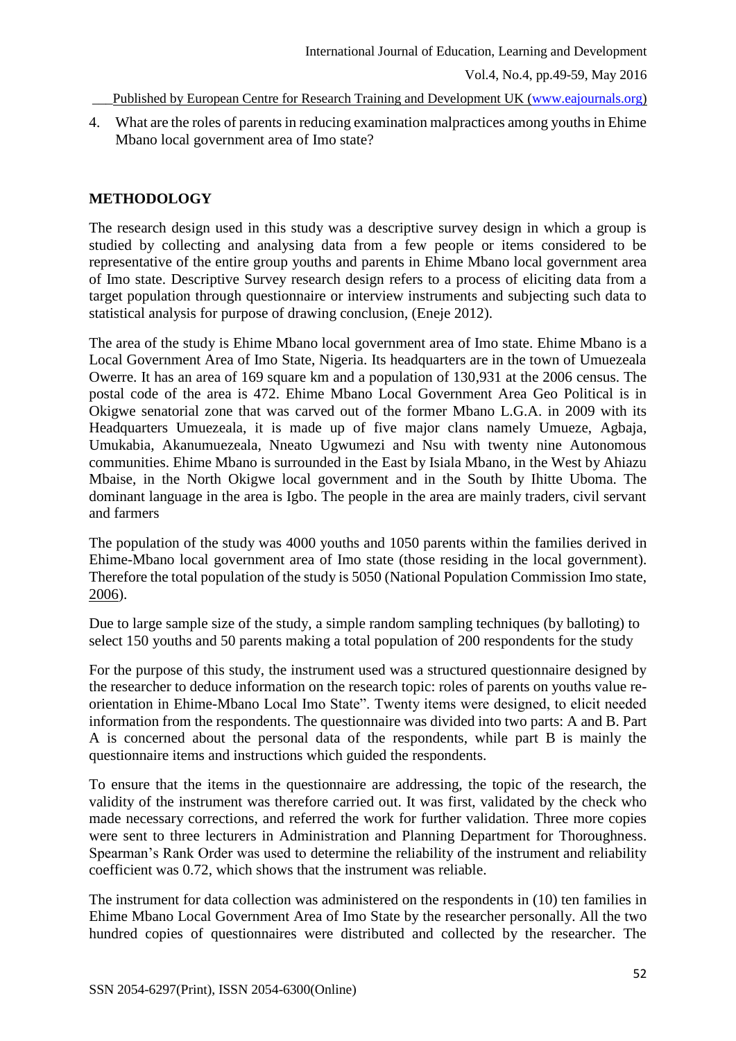\_\_\_Published by European Centre for Research Training and Development UK [\(www.eajournals.org\)](http://www.eajournals.org/)

4. What are the roles of parents in reducing examination malpractices among youths in Ehime Mbano local government area of Imo state?

## **METHODOLOGY**

The research design used in this study was a descriptive survey design in which a group is studied by collecting and analysing data from a few people or items considered to be representative of the entire group youths and parents in Ehime Mbano local government area of Imo state. Descriptive Survey research design refers to a process of eliciting data from a target population through questionnaire or interview instruments and subjecting such data to statistical analysis for purpose of drawing conclusion, (Eneje 2012).

The area of the study is Ehime Mbano local government area of Imo state. Ehime Mbano is a Local Government Area of Imo State, Nigeria. Its headquarters are in the town of Umuezeala Owerre. It has an area of 169 square km and a population of 130,931 at the 2006 census. The postal code of the area is 472. Ehime Mbano Local Government Area Geo Political is in Okigwe senatorial zone that was carved out of the former Mbano L.G.A. in 2009 with its Headquarters Umuezeala, it is made up of five major clans namely Umueze, Agbaja, Umukabia, Akanumuezeala, Nneato Ugwumezi and Nsu with twenty nine Autonomous communities. Ehime Mbano is surrounded in the East by Isiala Mbano, in the West by Ahiazu Mbaise, in the North Okigwe local government and in the South by Ihitte Uboma. The dominant language in the area is Igbo. The people in the area are mainly traders, civil servant and farmers

The population of the study was 4000 youths and 1050 parents within the families derived in Ehime-Mbano local government area of Imo state (those residing in the local government). Therefore the total population of the study is 5050 (National Population Commission Imo state, 2006).

Due to large sample size of the study, a simple random sampling techniques (by balloting) to select 150 youths and 50 parents making a total population of 200 respondents for the study

For the purpose of this study, the instrument used was a structured questionnaire designed by the researcher to deduce information on the research topic: roles of parents on youths value reorientation in Ehime-Mbano Local Imo State". Twenty items were designed, to elicit needed information from the respondents. The questionnaire was divided into two parts: A and B. Part A is concerned about the personal data of the respondents, while part B is mainly the questionnaire items and instructions which guided the respondents.

To ensure that the items in the questionnaire are addressing, the topic of the research, the validity of the instrument was therefore carried out. It was first, validated by the check who made necessary corrections, and referred the work for further validation. Three more copies were sent to three lecturers in Administration and Planning Department for Thoroughness. Spearman's Rank Order was used to determine the reliability of the instrument and reliability coefficient was 0.72, which shows that the instrument was reliable.

The instrument for data collection was administered on the respondents in (10) ten families in Ehime Mbano Local Government Area of Imo State by the researcher personally. All the two hundred copies of questionnaires were distributed and collected by the researcher. The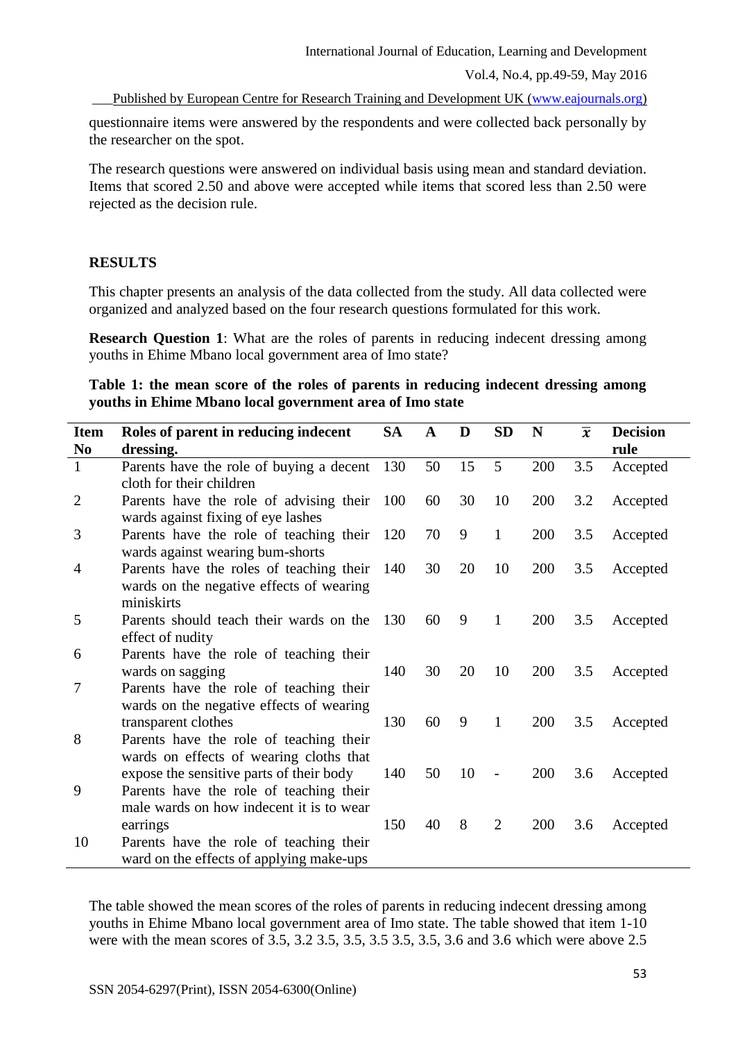Vol.4, No.4, pp.49-59, May 2016

\_\_\_Published by European Centre for Research Training and Development UK [\(www.eajournals.org\)](http://www.eajournals.org/)

questionnaire items were answered by the respondents and were collected back personally by the researcher on the spot.

The research questions were answered on individual basis using mean and standard deviation. Items that scored 2.50 and above were accepted while items that scored less than 2.50 were rejected as the decision rule.

## **RESULTS**

This chapter presents an analysis of the data collected from the study. All data collected were organized and analyzed based on the four research questions formulated for this work.

**Research Question 1:** What are the roles of parents in reducing indecent dressing among youths in Ehime Mbano local government area of Imo state?

## **Table 1: the mean score of the roles of parents in reducing indecent dressing among youths in Ehime Mbano local government area of Imo state**

| <b>Item</b>    | Roles of parent in reducing indecent                                                | <b>SA</b> | $\mathbf{A}$ | D  | <b>SD</b>                | N   | $\overline{x}$ | <b>Decision</b> |
|----------------|-------------------------------------------------------------------------------------|-----------|--------------|----|--------------------------|-----|----------------|-----------------|
| N <sub>0</sub> | dressing.                                                                           |           |              |    |                          |     |                | rule            |
| $\mathbf{1}$   | Parents have the role of buying a decent 130                                        |           | 50           | 15 | 5                        | 200 | 3.5            | Accepted        |
|                | cloth for their children                                                            |           |              |    |                          |     |                |                 |
| $\overline{2}$ | Parents have the role of advising their 100                                         |           | 60           | 30 | 10                       | 200 | 3.2            | Accepted        |
|                | wards against fixing of eye lashes                                                  |           |              |    |                          |     |                |                 |
| 3              | Parents have the role of teaching their 120                                         |           | 70           | 9  | $\mathbf{1}$             | 200 | 3.5            | Accepted        |
|                | wards against wearing bum-shorts                                                    |           |              |    |                          |     |                |                 |
| $\overline{4}$ | Parents have the roles of teaching their                                            | 140       | 30           | 20 | 10                       | 200 | 3.5            | Accepted        |
|                | wards on the negative effects of wearing                                            |           |              |    |                          |     |                |                 |
|                | miniskirts                                                                          |           |              |    |                          |     |                |                 |
| 5              | Parents should teach their wards on the                                             | -130      | 60           | 9  | 1                        | 200 | 3.5            | Accepted        |
|                | effect of nudity                                                                    |           |              |    |                          |     |                |                 |
| 6              | Parents have the role of teaching their                                             | 140       |              |    |                          |     |                |                 |
| 7              | wards on sagging                                                                    |           | 30           | 20 | 10                       | 200 | 3.5            | Accepted        |
|                | Parents have the role of teaching their<br>wards on the negative effects of wearing |           |              |    |                          |     |                |                 |
|                | transparent clothes                                                                 | 130       | 60           | 9  | $\mathbf{1}$             | 200 | 3.5            | Accepted        |
| 8              | Parents have the role of teaching their                                             |           |              |    |                          |     |                |                 |
|                | wards on effects of wearing cloths that                                             |           |              |    |                          |     |                |                 |
|                | expose the sensitive parts of their body                                            | 140       | 50           | 10 | $\overline{\phantom{a}}$ | 200 | 3.6            | Accepted        |
| 9              | Parents have the role of teaching their                                             |           |              |    |                          |     |                |                 |
|                | male wards on how indecent it is to wear                                            |           |              |    |                          |     |                |                 |
|                | earrings                                                                            | 150       | 40           | 8  | $\overline{2}$           | 200 | 3.6            | Accepted        |
| 10             | Parents have the role of teaching their                                             |           |              |    |                          |     |                |                 |
|                | ward on the effects of applying make-ups                                            |           |              |    |                          |     |                |                 |

The table showed the mean scores of the roles of parents in reducing indecent dressing among youths in Ehime Mbano local government area of Imo state. The table showed that item 1-10 were with the mean scores of 3.5, 3.2 3.5, 3.5, 3.5, 3.5, 3.5, 3.6 and 3.6 which were above 2.5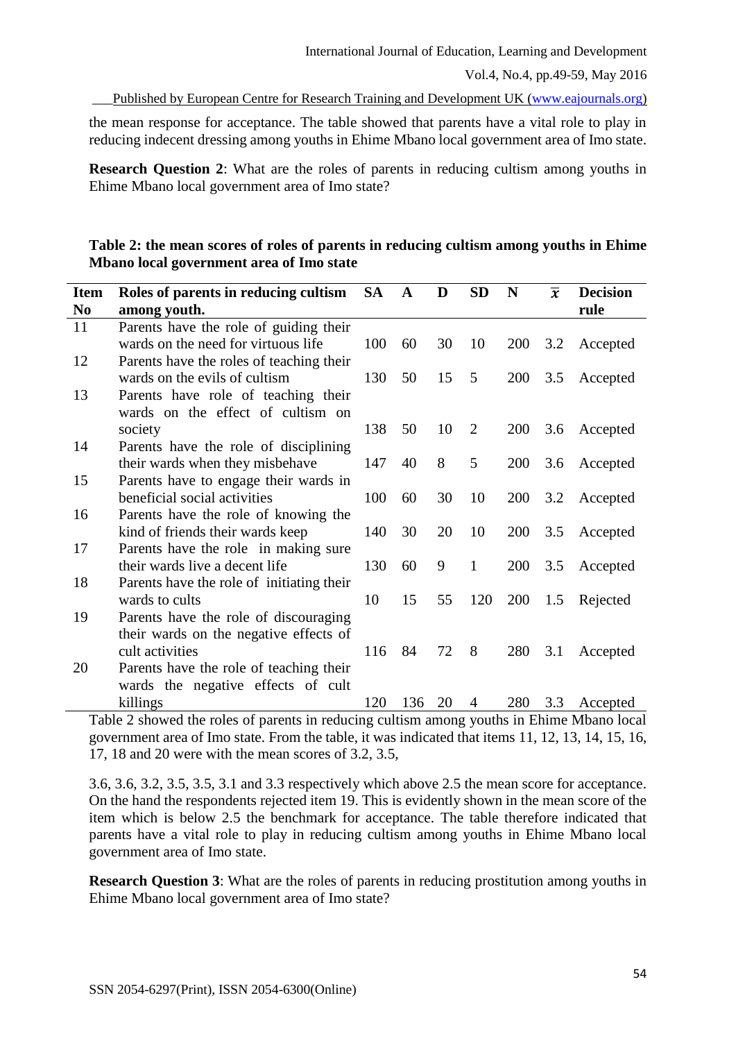\_\_\_Published by European Centre for Research Training and Development UK [\(www.eajournals.org\)](http://www.eajournals.org/)

the mean response for acceptance. The table showed that parents have a vital role to play in reducing indecent dressing among youths in Ehime Mbano local government area of Imo state.

**Research Question 2:** What are the roles of parents in reducing cultism among youths in Ehime Mbano local government area of Imo state?

# **Table 2: the mean scores of roles of parents in reducing cultism among youths in Ehime Mbano local government area of Imo state**

| <b>Item</b>    | Roles of parents in reducing cultism SA   |     | $\mathbf{A}$ | D  | <b>SD</b>      | N   | $\overline{x}$ | <b>Decision</b> |
|----------------|-------------------------------------------|-----|--------------|----|----------------|-----|----------------|-----------------|
| N <sub>0</sub> | among youth.                              |     |              |    |                |     |                | rule            |
| 11             | Parents have the role of guiding their    |     |              |    |                |     |                |                 |
|                | wards on the need for virtuous life       | 100 | 60           | 30 | 10             | 200 | 3.2            | Accepted        |
| 12             | Parents have the roles of teaching their  |     |              |    |                |     |                |                 |
|                | wards on the evils of cultism             | 130 | 50           | 15 | 5              |     | 200 3.5        | Accepted        |
| 13             | Parents have role of teaching their       |     |              |    |                |     |                |                 |
|                | wards on the effect of cultism on         |     |              |    |                |     |                |                 |
|                | society                                   | 138 | 50           | 10 | 2              | 200 | 3.6            | Accepted        |
| 14             | Parents have the role of disciplining     |     |              |    |                |     |                |                 |
|                | their wards when they misbehave           | 147 | 40           | 8  | 5              | 200 | 3.6            | Accepted        |
| 15             | Parents have to engage their wards in     |     |              |    |                |     |                |                 |
|                | beneficial social activities              | 100 | 60           | 30 | 10             | 200 | 3.2            | Accepted        |
| 16             | Parents have the role of knowing the      |     |              |    |                |     |                |                 |
|                | kind of friends their wards keep          | 140 | 30           | 20 | 10             | 200 | 3.5            | Accepted        |
| 17             | Parents have the role in making sure      |     |              |    |                |     |                |                 |
|                | their wards live a decent life            | 130 | 60           | 9  | $\mathbf{1}$   | 200 | 3.5            | Accepted        |
| 18             | Parents have the role of initiating their |     |              |    |                |     |                |                 |
|                | wards to cults                            | 10  | 15           | 55 | 120            | 200 | 1.5            | Rejected        |
| 19             | Parents have the role of discouraging     |     |              |    |                |     |                |                 |
|                | their wards on the negative effects of    | 116 | 84           |    |                |     |                |                 |
|                | cult activities                           |     |              | 72 | 8              | 280 | 3.1            | Accepted        |
| 20             | Parents have the role of teaching their   |     |              |    |                |     |                |                 |
|                | wards the negative effects of cult        | 120 |              |    |                |     |                |                 |
|                | killings                                  |     | 136          | 20 | $\overline{4}$ | 280 | 3.3            | Accepted        |

Table 2 showed the roles of parents in reducing cultism among youths in Ehime Mbano local government area of Imo state. From the table, it was indicated that items 11, 12, 13, 14, 15, 16, 17, 18 and 20 were with the mean scores of 3.2, 3.5,

3.6, 3.6, 3.2, 3.5, 3.5, 3.1 and 3.3 respectively which above 2.5 the mean score for acceptance. On the hand the respondents rejected item 19. This is evidently shown in the mean score of the item which is below 2.5 the benchmark for acceptance. The table therefore indicated that parents have a vital role to play in reducing cultism among youths in Ehime Mbano local government area of Imo state.

**Research Question 3:** What are the roles of parents in reducing prostitution among youths in Ehime Mbano local government area of Imo state?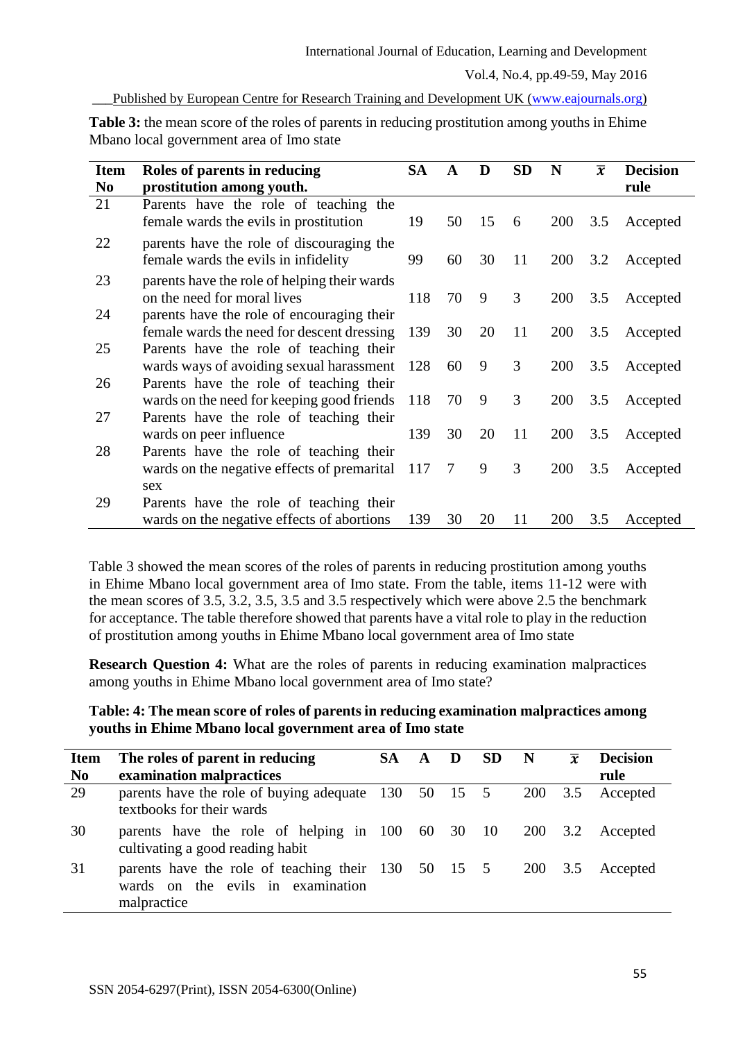## Published by European Centre for Research Training and Development UK [\(www.eajournals.org\)](http://www.eajournals.org/)

**Table 3:** the mean score of the roles of parents in reducing prostitution among youths in Ehime Mbano local government area of Imo state

| <b>Item</b><br>N <sub>0</sub> | Roles of parents in reducing<br>prostitution among youth.                                     | <b>SA</b> | $\mathbf{A}$ | D  | <b>SD</b> | N          | $\overline{x}$ | <b>Decision</b><br>rule |
|-------------------------------|-----------------------------------------------------------------------------------------------|-----------|--------------|----|-----------|------------|----------------|-------------------------|
| 21                            | Parents have the role of teaching the<br>female wards the evils in prostitution               | 19        | 50           | 15 | 6         | <b>200</b> | 3.5            | Accepted                |
| 22                            | parents have the role of discouraging the<br>female wards the evils in infidelity             | 99        | 60           | 30 | 11        | <b>200</b> | 3.2            | Accepted                |
| 23                            | parents have the role of helping their wards<br>on the need for moral lives                   | 118       | 70           | 9  | 3         | <b>200</b> | 3.5            | Accepted                |
| 24                            | parents have the role of encouraging their<br>female wards the need for descent dressing      | 139       | 30           | 20 | 11        | <b>200</b> | 3.5            | Accepted                |
| 25                            | Parents have the role of teaching their<br>wards ways of avoiding sexual harassment           | 128       | 60           | 9  | 3         | 200        | 3.5            | Accepted                |
| 26                            | Parents have the role of teaching their<br>wards on the need for keeping good friends         | 118       | 70           | 9  | 3         | <b>200</b> | 3.5            | Accepted                |
| 27                            | Parents have the role of teaching their<br>wards on peer influence                            | 139       | 30           | 20 | 11        | <b>200</b> | 3.5            | Accepted                |
| 28                            | Parents have the role of teaching their<br>wards on the negative effects of premarital<br>sex | 117       | 7            | 9  | 3         | 200        | 3.5            | Accepted                |
| 29                            | Parents have the role of teaching their<br>wards on the negative effects of abortions         | 139       | 30           | 20 | 11        | <b>200</b> | 3.5            | Accepted                |

Table 3 showed the mean scores of the roles of parents in reducing prostitution among youths in Ehime Mbano local government area of Imo state. From the table, items 11-12 were with the mean scores of 3.5, 3.2, 3.5, 3.5 and 3.5 respectively which were above 2.5 the benchmark for acceptance. The table therefore showed that parents have a vital role to play in the reduction of prostitution among youths in Ehime Mbano local government area of Imo state

**Research Question 4:** What are the roles of parents in reducing examination malpractices among youths in Ehime Mbano local government area of Imo state?

# **Table: 4: The mean score of roles of parents in reducing examination malpractices among youths in Ehime Mbano local government area of Imo state**

| <b>Item</b><br>N <sub>0</sub> | The roles of parent in reducing<br>examination malpractices                                             | SA - | $\mathbf{A}$ | D | -SD | N       | $\overline{x}$ | <b>Decision</b><br>rule |
|-------------------------------|---------------------------------------------------------------------------------------------------------|------|--------------|---|-----|---------|----------------|-------------------------|
| 29                            | parents have the role of buying adequate 130 50 15 5<br>textbooks for their wards                       |      |              |   |     | 200     | 3.5            | Accepted                |
| 30                            | parents have the role of helping in 100 60 30 10<br>cultivating a good reading habit                    |      |              |   |     |         |                | 200 3.2 Accepted        |
| 31                            | parents have the role of teaching their 130 50 15 5<br>wards on the evils in examination<br>malpractice |      |              |   |     | 200 3.5 |                | Accepted                |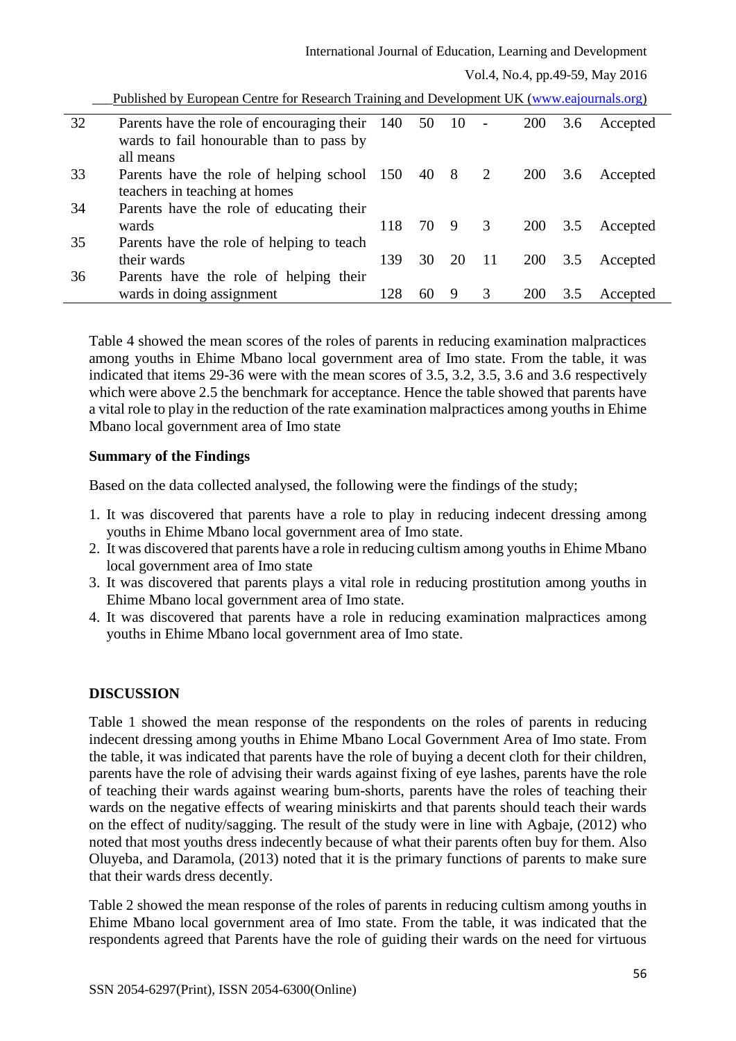| 32 | Parents have the role of encouraging their 140 50 10 |     |      |    | $\sim$ $-$              | 200        | 3.6 | Accepted |
|----|------------------------------------------------------|-----|------|----|-------------------------|------------|-----|----------|
|    | wards to fail honourable than to pass by             |     |      |    |                         |            |     |          |
|    | all means                                            |     |      |    |                         |            |     |          |
| 33 | Parents have the role of helping school 150          |     | 40 8 |    | 2                       | <b>200</b> | 3.6 | Accepted |
|    | teachers in teaching at homes                        |     |      |    |                         |            |     |          |
| 34 | Parents have the role of educating their             |     |      |    |                         |            |     |          |
|    | wards                                                | 118 | 70 9 |    | $\overline{\mathbf{3}}$ | 200        | 3.5 | Accepted |
| 35 | Parents have the role of helping to teach            |     |      |    |                         |            |     |          |
|    | their wards                                          | 139 | 30   | 20 | -11                     | <b>200</b> | 3.5 | Accepted |
| 36 | Parents have the role of helping their               |     |      |    |                         |            |     |          |
|    | wards in doing assignment                            | 128 | 60   | 9  | 3                       | <b>200</b> | 3.5 | Accepted |

Published by European Centre for Research Training and Development UK [\(www.eajournals.org\)](http://www.eajournals.org/)

Table 4 showed the mean scores of the roles of parents in reducing examination malpractices among youths in Ehime Mbano local government area of Imo state. From the table, it was indicated that items 29-36 were with the mean scores of 3.5, 3.2, 3.5, 3.6 and 3.6 respectively which were above 2.5 the benchmark for acceptance. Hence the table showed that parents have a vital role to play in the reduction of the rate examination malpractices among youths in Ehime Mbano local government area of Imo state

# **Summary of the Findings**

Based on the data collected analysed, the following were the findings of the study;

- 1. It was discovered that parents have a role to play in reducing indecent dressing among youths in Ehime Mbano local government area of Imo state.
- 2. It was discovered that parents have a role in reducing cultism among youths in Ehime Mbano local government area of Imo state
- 3. It was discovered that parents plays a vital role in reducing prostitution among youths in Ehime Mbano local government area of Imo state.
- 4. It was discovered that parents have a role in reducing examination malpractices among youths in Ehime Mbano local government area of Imo state.

# **DISCUSSION**

Table 1 showed the mean response of the respondents on the roles of parents in reducing indecent dressing among youths in Ehime Mbano Local Government Area of Imo state. From the table, it was indicated that parents have the role of buying a decent cloth for their children, parents have the role of advising their wards against fixing of eye lashes, parents have the role of teaching their wards against wearing bum-shorts, parents have the roles of teaching their wards on the negative effects of wearing miniskirts and that parents should teach their wards on the effect of nudity/sagging. The result of the study were in line with Agbaje, (2012) who noted that most youths dress indecently because of what their parents often buy for them. Also Oluyeba, and Daramola, (2013) noted that it is the primary functions of parents to make sure that their wards dress decently.

Table 2 showed the mean response of the roles of parents in reducing cultism among youths in Ehime Mbano local government area of Imo state. From the table, it was indicated that the respondents agreed that Parents have the role of guiding their wards on the need for virtuous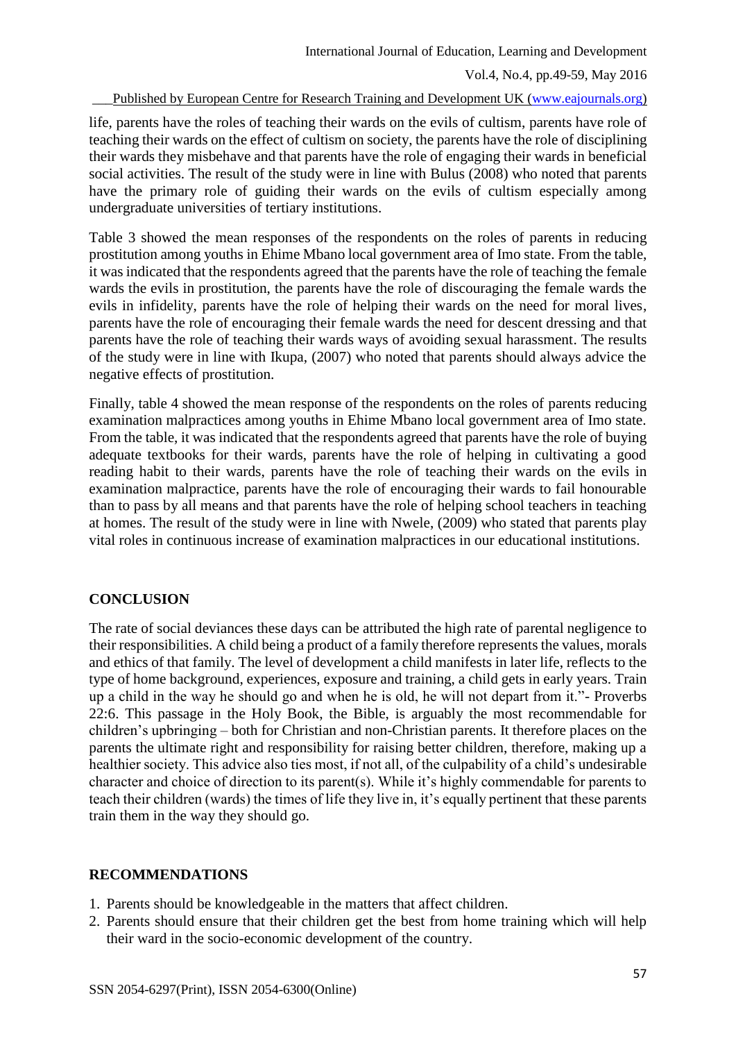#### Published by European Centre for Research Training and Development UK [\(www.eajournals.org\)](http://www.eajournals.org/)

life, parents have the roles of teaching their wards on the evils of cultism, parents have role of teaching their wards on the effect of cultism on society, the parents have the role of disciplining their wards they misbehave and that parents have the role of engaging their wards in beneficial social activities. The result of the study were in line with Bulus (2008) who noted that parents have the primary role of guiding their wards on the evils of cultism especially among undergraduate universities of tertiary institutions.

Table 3 showed the mean responses of the respondents on the roles of parents in reducing prostitution among youths in Ehime Mbano local government area of Imo state. From the table, it was indicated that the respondents agreed that the parents have the role of teaching the female wards the evils in prostitution, the parents have the role of discouraging the female wards the evils in infidelity, parents have the role of helping their wards on the need for moral lives, parents have the role of encouraging their female wards the need for descent dressing and that parents have the role of teaching their wards ways of avoiding sexual harassment. The results of the study were in line with Ikupa, (2007) who noted that parents should always advice the negative effects of prostitution.

Finally, table 4 showed the mean response of the respondents on the roles of parents reducing examination malpractices among youths in Ehime Mbano local government area of Imo state. From the table, it was indicated that the respondents agreed that parents have the role of buying adequate textbooks for their wards, parents have the role of helping in cultivating a good reading habit to their wards, parents have the role of teaching their wards on the evils in examination malpractice, parents have the role of encouraging their wards to fail honourable than to pass by all means and that parents have the role of helping school teachers in teaching at homes. The result of the study were in line with Nwele, (2009) who stated that parents play vital roles in continuous increase of examination malpractices in our educational institutions.

#### **CONCLUSION**

The rate of social deviances these days can be attributed the high rate of parental negligence to their responsibilities. A child being a product of a family therefore represents the values, morals and ethics of that family. The level of development a child manifests in later life, reflects to the type of home background, experiences, exposure and training, a child gets in early years. Train up a child in the way he should go and when he is old, he will not depart from it."- Proverbs 22:6. This passage in the Holy Book, the Bible, is arguably the most recommendable for children's upbringing – both for Christian and non-Christian parents. It therefore places on the parents the ultimate right and responsibility for raising better children, therefore, making up a healthier society. This advice also ties most, if not all, of the culpability of a child's undesirable character and choice of direction to its parent(s). While it's highly commendable for parents to teach their children (wards) the times of life they live in, it's equally pertinent that these parents train them in the way they should go.

#### **RECOMMENDATIONS**

- 1. Parents should be knowledgeable in the matters that affect children.
- 2. Parents should ensure that their children get the best from home training which will help their ward in the socio-economic development of the country.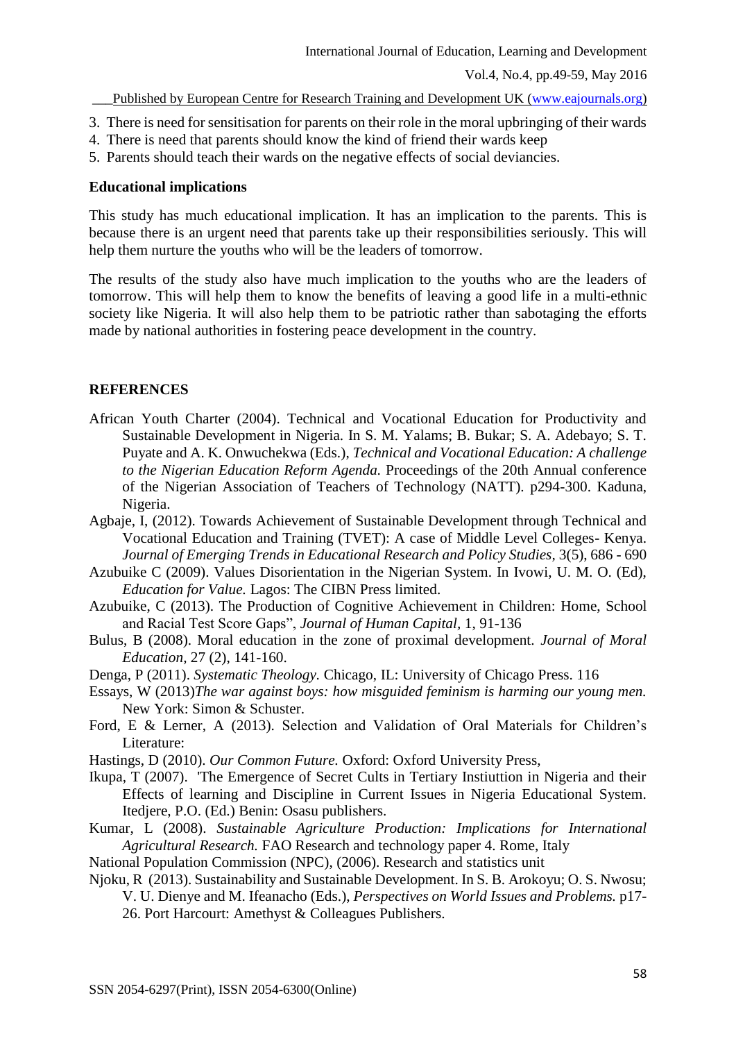\_\_\_Published by European Centre for Research Training and Development UK [\(www.eajournals.org\)](http://www.eajournals.org/)

- 3. There is need for sensitisation for parents on their role in the moral upbringing of their wards
- 4. There is need that parents should know the kind of friend their wards keep
- 5. Parents should teach their wards on the negative effects of social deviancies.

#### **Educational implications**

This study has much educational implication. It has an implication to the parents. This is because there is an urgent need that parents take up their responsibilities seriously. This will help them nurture the youths who will be the leaders of tomorrow.

The results of the study also have much implication to the youths who are the leaders of tomorrow. This will help them to know the benefits of leaving a good life in a multi-ethnic society like Nigeria. It will also help them to be patriotic rather than sabotaging the efforts made by national authorities in fostering peace development in the country.

## **REFERENCES**

- African Youth Charter (2004). Technical and Vocational Education for Productivity and Sustainable Development in Nigeria. In S. M. Yalams; B. Bukar; S. A. Adebayo; S. T. Puyate and A. K. Onwuchekwa (Eds.), *Technical and Vocational Education: A challenge to the Nigerian Education Reform Agenda.* Proceedings of the 20th Annual conference of the Nigerian Association of Teachers of Technology (NATT). p294-300. Kaduna, Nigeria.
- Agbaje, I, (2012). Towards Achievement of Sustainable Development through Technical and Vocational Education and Training (TVET): A case of Middle Level Colleges- Kenya. *Journal of Emerging Trends in Educational Research and Policy Studies,* 3(5), 686 - 690
- Azubuike C (2009). Values Disorientation in the Nigerian System. In Ivowi, U. M. O. (Ed), *Education for Value.* Lagos: The CIBN Press limited.
- Azubuike, C (2013). The Production of Cognitive Achievement in Children: Home, School and Racial Test Score Gaps", *Journal of Human Capital,* 1, 91-136
- Bulus, B (2008). Moral education in the zone of proximal development. *Journal of Moral Education,* 27 (2), 141-160.
- Denga, P (2011). *Systematic Theology.* Chicago, IL: University of Chicago Press. 116
- Essays, W (2013)*The war against boys: how misguided feminism is harming our young men.*  New York: Simon & Schuster.
- Ford, E & Lerner, A (2013). Selection and Validation of Oral Materials for Children's Literature:
- Hastings, D (2010). *Our Common Future.* Oxford: Oxford University Press,
- Ikupa, T (2007). 'The Emergence of Secret Cults in Tertiary Instiuttion in Nigeria and their Effects of learning and Discipline in Current Issues in Nigeria Educational System. Itedjere, P.O. (Ed.) Benin: Osasu publishers.
- Kumar, L (2008). *Sustainable Agriculture Production: Implications for International Agricultural Research.* FAO Research and technology paper 4. Rome, Italy
- National Population Commission (NPC), (2006). Research and statistics unit
- Njoku, R (2013). Sustainability and Sustainable Development. In S. B. Arokoyu; O. S. Nwosu; V. U. Dienye and M. Ifeanacho (Eds.), *Perspectives on World Issues and Problems.* p17- 26. Port Harcourt: Amethyst & Colleagues Publishers.